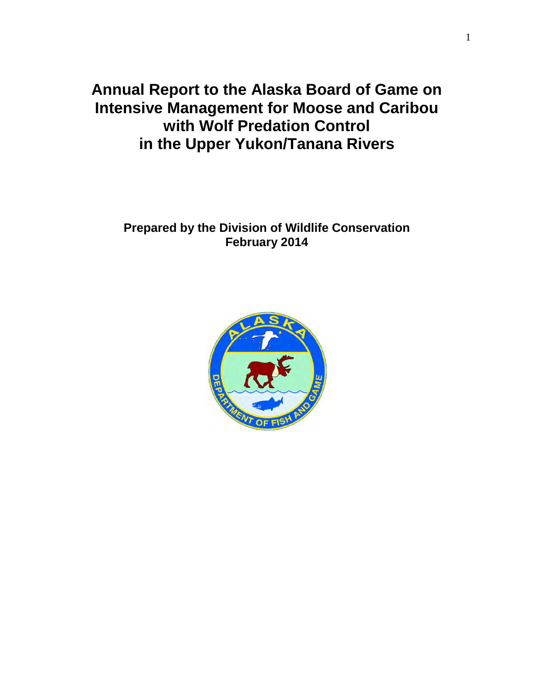**Annual Report to the Alaska Board of Game on Intensive Management for Moose and Caribou with Wolf Predation Control in the Upper Yukon/Tanana Rivers** 

# **Prepared by the Division of Wildlife Conservation February 2014**

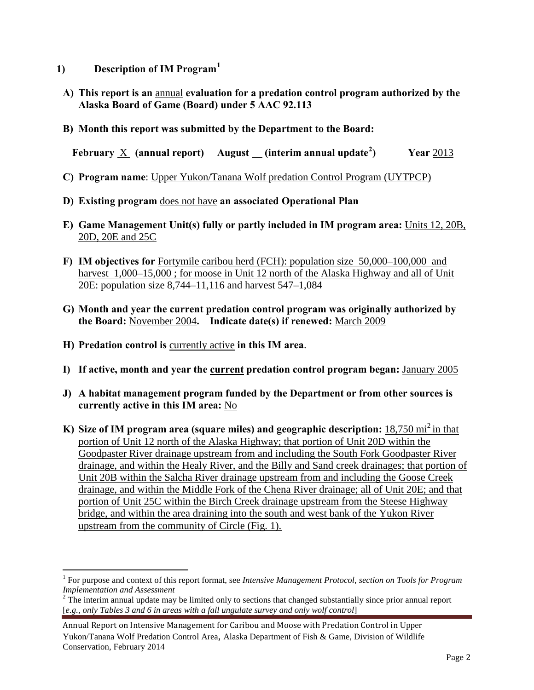- **1) Description of IM Program[1](#page-1-0)**
- **A) This report is an** annual **evaluation for a predation control program authorized by the Alaska Board of Game (Board) under 5 AAC 92.113**
- **B) Month this report was submitted by the Department to the Board:**

**February** X **(annual report) August (interim annual update[2](#page-1-1) ) Year** 2013

- **C) Program name**: Upper Yukon/Tanana Wolf predation Control Program (UYTPCP)
- **D) Existing program** does not have **an associated Operational Plan**
- **E) Game Management Unit(s) fully or partly included in IM program area:** Units 12, 20B, 20D, 20E and 25C
- **F) IM objectives for** Fortymile caribou herd (FCH): population size 50,000–100,000 and harvest 1,000–15,000; for moose in Unit 12 north of the Alaska Highway and all of Unit 20E: population size 8,744–11,116 and harvest 547–1,084
- **G) Month and year the current predation control program was originally authorized by the Board:** November 2004**. Indicate date(s) if renewed:** March 2009
- **H) Predation control is** currently active **in this IM area**.
- **I) If active, month and year the current predation control program began:** January 2005
- **J) A habitat management program funded by the Department or from other sources is currently active in this IM area:** No
- **K)** Size of IM program area (square miles) and geographic description: 18,750 mi<sup>2</sup> in that portion of Unit 12 north of the Alaska Highway; that portion of Unit 20D within the Goodpaster River drainage upstream from and including the South Fork Goodpaster River drainage, and within the Healy River, and the Billy and Sand creek drainages; that portion of Unit 20B within the Salcha River drainage upstream from and including the Goose Creek drainage, and within the Middle Fork of the Chena River drainage; all of Unit 20E; and that portion of Unit 25C within the Birch Creek drainage upstream from the Steese Highway bridge, and within the area draining into the south and west bank of the Yukon River upstream from the community of Circle (Fig. 1).

<span id="page-1-0"></span> $\overline{a}$ <sup>1</sup> For purpose and context of this report format, see *Intensive Management Protocol, section on Tools for Program Implementation and Assessment* 

<span id="page-1-1"></span><sup>&</sup>lt;sup>2</sup> The interim annual update may be limited only to sections that changed substantially since prior annual report [*e.g., only Tables 3 and 6 in areas with a fall ungulate survey and only wolf control*]

Annual Report on Intensive Management for Caribou and Moose with Predation Control in Upper Yukon/Tanana Wolf Predation Control Area, Alaska Department of Fish & Game, Division of Wildlife Conservation, February 2014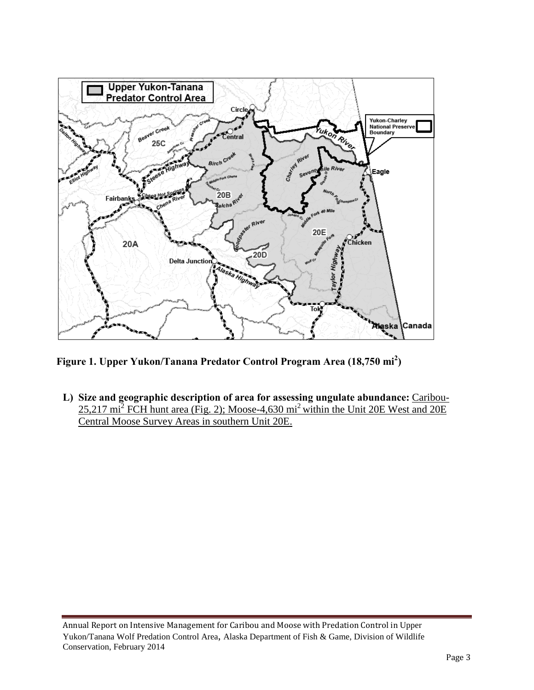

**Figure 1. Upper Yukon/Tanana Predator Control Program Area (18,750 mi<sup>2</sup> )** 

**L) Size and geographic description of area for assessing ungulate abundance:** Caribou- $25,217 \text{ mi}^2$  FCH hunt area (Fig. 2); Moose-4,630 mi<sup>2</sup> within the Unit 20E West and 20E Central Moose Survey Areas in southern Unit 20E.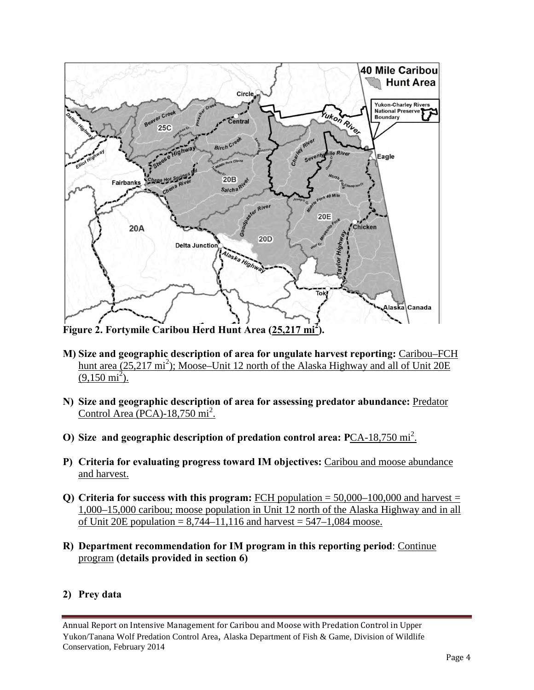

**M) Size and geographic description of area for ungulate harvest reporting:** Caribou–FCH hunt area (25,217 mi<sup>2</sup>); Moose–Unit 12 north of the Alaska Highway and all of Unit 20E  $(9,150 \text{ mi}^2)$ .

- **N) Size and geographic description of area for assessing predator abundance:** Predator Control Area (PCA)- $18,750 \text{ mi}^2$ .
- **O)** Size and geographic description of predation control area: PCA-18,750 mi<sup>2</sup>.
- **P) Criteria for evaluating progress toward IM objectives:** Caribou and moose abundance and harvest.
- **Q)** Criteria for success with this program: FCH population  $= 50,000-100,000$  and harvest  $=$ 1,000–15,000 caribou; moose population in Unit 12 north of the Alaska Highway and in all of Unit 20E population =  $8,744-11,116$  and harvest =  $547-1,084$  moose.
- **R) Department recommendation for IM program in this reporting period**: Continue program **(details provided in section 6)**

### **2) Prey data**

Annual Report on Intensive Management for Caribou and Moose with Predation Control in Upper Yukon/Tanana Wolf Predation Control Area, Alaska Department of Fish & Game, Division of Wildlife Conservation, February 2014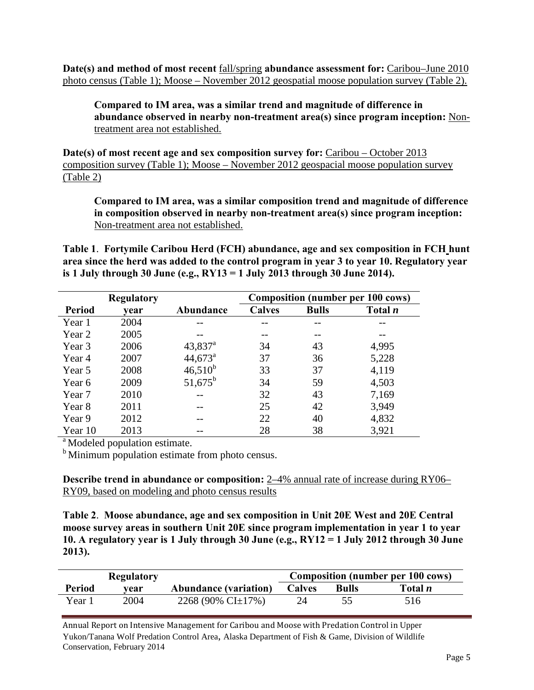**Date(s) and method of most recent** fall/spring **abundance assessment for:** Caribou–June 2010 photo census (Table 1); Moose – November 2012 geospatial moose population survey (Table 2).

**Compared to IM area, was a similar trend and magnitude of difference in abundance observed in nearby non-treatment area(s) since program inception:** Nontreatment area not established.

**Date(s) of most recent age and sex composition survey for:** Caribou – October 2013 composition survey (Table 1); Moose – November 2012 geospacial moose population survey (Table 2)

**Compared to IM area, was a similar composition trend and magnitude of difference in composition observed in nearby non-treatment area(s) since program inception:** Non-treatment area not established.

**Table 1**. **Fortymile Caribou Herd (FCH) abundance, age and sex composition in FCH hunt area since the herd was added to the control program in year 3 to year 10. Regulatory year is 1 July through 30 June (e.g., RY13 = 1 July 2013 through 30 June 2014).**

|               | <b>Regulatory</b> |                  | <b>Composition (number per 100 cows)</b> |              |                |  |
|---------------|-------------------|------------------|------------------------------------------|--------------|----------------|--|
| <b>Period</b> | vear              | Abundance        | <b>Calves</b>                            | <b>Bulls</b> | Total <i>n</i> |  |
| Year 1        | 2004              |                  |                                          |              |                |  |
| Year 2        | 2005              |                  |                                          |              |                |  |
| Year 3        | 2006              | $43,837^{\rm a}$ | 34                                       | 43           | 4,995          |  |
| Year 4        | 2007              | $44,673^{\circ}$ | 37                                       | 36           | 5,228          |  |
| Year 5        | 2008              | $46,510^{b}$     | 33                                       | 37           | 4,119          |  |
| Year 6        | 2009              | $51,675^{\rm b}$ | 34                                       | 59           | 4,503          |  |
| Year 7        | 2010              |                  | 32                                       | 43           | 7,169          |  |
| Year 8        | 2011              |                  | 25                                       | 42           | 3,949          |  |
| Year 9        | 2012              |                  | 22                                       | 40           | 4,832          |  |
| Year 10       | 2013              |                  | 28                                       | 38           | 3,921          |  |

<sup>a</sup> Modeled population estimate.

 $<sup>b</sup>$  Minimum population estimate from photo census.</sup>

**Describe trend in abundance or composition:** 2–4% annual rate of increase during RY06– RY09, based on modeling and photo census results

**Table 2**. **Moose abundance, age and sex composition in Unit 20E West and 20E Central moose survey areas in southern Unit 20E since program implementation in year 1 to year 10. A regulatory year is 1 July through 30 June (e.g., RY12 = 1 July 2012 through 30 June 2013).** 

|               | <b>Regulatory</b> |                              | <b>Composition (number per 100 cows)</b> |              |                |  |
|---------------|-------------------|------------------------------|------------------------------------------|--------------|----------------|--|
| <b>Period</b> | vear              | <b>Abundance (variation)</b> | <b>Calves</b>                            | <b>Bulls</b> | Total <i>n</i> |  |
| Year 1        | 2004              | 2268 (90% CI $\pm$ 17%)      |                                          |              | 516            |  |

Annual Report on Intensive Management for Caribou and Moose with Predation Control in Upper Yukon/Tanana Wolf Predation Control Area, Alaska Department of Fish & Game, Division of Wildlife Conservation, February 2014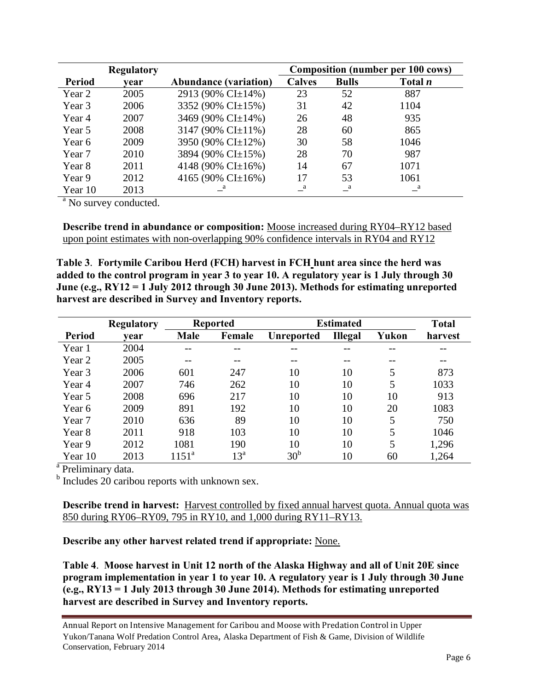|               | <b>Regulatory</b> |                              |               | <b>Composition (number per 100 cows)</b> |                |  |  |
|---------------|-------------------|------------------------------|---------------|------------------------------------------|----------------|--|--|
| <b>Period</b> | vear              | <b>Abundance (variation)</b> | <b>Calves</b> | <b>Bulls</b>                             | Total <i>n</i> |  |  |
| Year 2        | 2005              | 2913 (90% CI±14%)            | 23            | 52                                       | 887            |  |  |
| Year 3        | 2006              | 3352 (90% CI±15%)            | 31            | 42                                       | 1104           |  |  |
| Year 4        | 2007              | 3469 (90% CI±14%)            | 26            | 48                                       | 935            |  |  |
| Year 5        | 2008              | 3147 (90% CI $\pm$ 11%)      | 28            | 60                                       | 865            |  |  |
| Year 6        | 2009              | 3950 (90% CI±12%)            | 30            | 58                                       | 1046           |  |  |
| Year 7        | 2010              | 3894 (90% CI±15%)            | 28            | 70                                       | 987            |  |  |
| Year 8        | 2011              | 4148 (90% CI $\pm$ 16%)      | 14            | 67                                       | 1071           |  |  |
| Year 9        | 2012              | 4165 (90% CI $\pm$ 16%)      | 17            | 53                                       | 1061           |  |  |
| Year 10       | 2013              |                              | a             | a                                        | $\mathbf{a}$   |  |  |

<sup>a</sup> No survey conducted.

**Describe trend in abundance or composition:** Moose increased during RY04–RY12 based upon point estimates with non-overlapping 90% confidence intervals in RY04 and RY12

**Table 3**. **Fortymile Caribou Herd (FCH) harvest in FCH hunt area since the herd was added to the control program in year 3 to year 10. A regulatory year is 1 July through 30 June (e.g., RY12 = 1 July 2012 through 30 June 2013). Methods for estimating unreported harvest are described in Survey and Inventory reports.**

|               | <b>Regulatory</b> | <b>Reported</b> |                 | <b>Estimated</b>  | <b>Total</b>   |       |         |
|---------------|-------------------|-----------------|-----------------|-------------------|----------------|-------|---------|
| <b>Period</b> | vear              | <b>Male</b>     | Female          | <b>Unreported</b> | <b>Illegal</b> | Yukon | harvest |
| Year 1        | 2004              | --              | --              |                   | --             | --    |         |
| Year 2        | 2005              |                 | --              | --                | --             | --    |         |
| Year 3        | 2006              | 601             | 247             | 10                | 10             | 5     | 873     |
| Year 4        | 2007              | 746             | 262             | 10                | 10             | 5     | 1033    |
| Year 5        | 2008              | 696             | 217             | 10                | 10             | 10    | 913     |
| Year 6        | 2009              | 891             | 192             | 10                | 10             | 20    | 1083    |
| Year 7        | 2010              | 636             | 89              | 10                | 10             | 5     | 750     |
| Year 8        | 2011              | 918             | 103             | 10                | 10             | 5     | 1046    |
| Year 9        | 2012              | 1081            | 190             | 10                | 10             | 5     | 1,296   |
| Year 10       | 2013              | $1151^{\rm a}$  | 13 <sup>a</sup> | 30 <sup>b</sup>   | 10             | 60    | 1,264   |

<sup>a</sup> Preliminary data.

<sup>b</sup> Includes 20 caribou reports with unknown sex.

**Describe trend in harvest:** Harvest controlled by fixed annual harvest quota. Annual quota was 850 during RY06–RY09, 795 in RY10, and 1,000 during RY11–RY13.

**Describe any other harvest related trend if appropriate:** None.

**Table 4**. **Moose harvest in Unit 12 north of the Alaska Highway and all of Unit 20E since program implementation in year 1 to year 10. A regulatory year is 1 July through 30 June (e.g., RY13 = 1 July 2013 through 30 June 2014). Methods for estimating unreported harvest are described in Survey and Inventory reports.**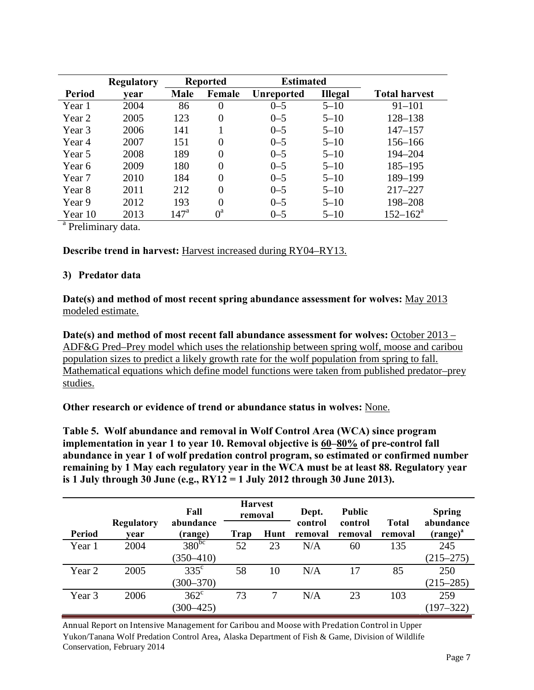|               | <b>Regulatory</b> | <b>Reported</b>  |             | <b>Estimated</b> |                |                      |
|---------------|-------------------|------------------|-------------|------------------|----------------|----------------------|
| <b>Period</b> | vear              | <b>Male</b>      | Female      | Unreported       | <b>Illegal</b> | <b>Total harvest</b> |
| Year 1        | 2004              | 86               | $\Omega$    | $0 - 5$          | $5 - 10$       | $91 - 101$           |
| Year 2        | 2005              | 123              | 0           | $0 - 5$          | $5 - 10$       | 128-138              |
| Year 3        | 2006              | 141              |             | $0 - 5$          | $5 - 10$       | $147 - 157$          |
| Year 4        | 2007              | 151              | 0           | $0 - 5$          | $5 - 10$       | 156-166              |
| Year 5        | 2008              | 189              | 0           | $0 - 5$          | $5 - 10$       | 194-204              |
| Year 6        | 2009              | 180              | 0           | $0 - 5$          | $5 - 10$       | 185-195              |
| Year 7        | 2010              | 184              | 0           | $0 - 5$          | $5 - 10$       | 189-199              |
| Year 8        | 2011              | 212              | 0           | $0 - 5$          | $5 - 10$       | $217 - 227$          |
| Year 9        | 2012              | 193              | 0           | $0 - 5$          | $5 - 10$       | 198-208              |
| Year 10       | 2013              | 147 <sup>a</sup> | $0^{\rm a}$ | $0 - 5$          | $5 - 10$       | $152 - 162^a$        |

<sup>a</sup> Preliminary data.

#### **Describe trend in harvest:** Harvest increased during RY04–RY13.

#### **3) Predator data**

**Date(s) and method of most recent spring abundance assessment for wolves:** May 2013 modeled estimate.

Date(s) and method of most recent fall abundance assessment for wolves: October 2013 – ADF&G Pred–Prey model which uses the relationship between spring wolf, moose and caribou population sizes to predict a likely growth rate for the wolf population from spring to fall. Mathematical equations which define model functions were taken from published predator–prey studies.

**Other research or evidence of trend or abundance status in wolves:** None.

**Table 5. Wolf abundance and removal in Wolf Control Area (WCA) since program implementation in year 1 to year 10. Removal objective is 60–80% of pre-control fall abundance in year 1 of wolf predation control program, so estimated or confirmed number remaining by 1 May each regulatory year in the WCA must be at least 88. Regulatory year is 1 July through 30 June (e.g., RY12 = 1 July 2012 through 30 June 2013).** 

|               |                           | Fall                  |      | <b>Harvest</b><br>removal | Dept.              | <b>Public</b><br>control | <b>Total</b> | <b>Spring</b><br>abundance |
|---------------|---------------------------|-----------------------|------|---------------------------|--------------------|--------------------------|--------------|----------------------------|
| <b>Period</b> | <b>Regulatory</b><br>vear | abundance<br>(range)  | Trap | Hunt                      | control<br>removal | removal                  | removal      | $(range)^{a}$              |
| Year 1        | 2004                      | $380^{b\overline{c}}$ | 52   | 23                        | N/A                | 60                       | 135          | 245                        |
|               |                           | $(350 - 410)$         |      |                           |                    |                          |              | $(215 - 275)$              |
| Year 2        | 2005                      | $335^{\circ}$         | 58   | 10                        | N/A                | 17                       | 85           | 250                        |
|               |                           | $(300 - 370)$         |      |                           |                    |                          |              | $(215 - 285)$              |
| Year 3        | 2006                      | $362^{\circ}$         | 73   | 7                         | N/A                | 23                       | 103          | 259                        |
|               |                           | $(300 - 425)$         |      |                           |                    |                          |              | $(197 - 322)$              |

Annual Report on Intensive Management for Caribou and Moose with Predation Control in Upper Yukon/Tanana Wolf Predation Control Area, Alaska Department of Fish & Game, Division of Wildlife Conservation, February 2014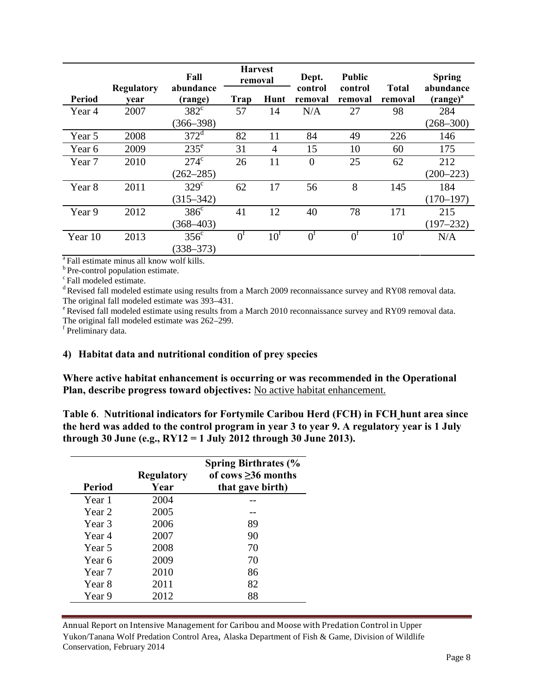|                   |                           | Fall                 |             | <b>Harvest</b><br>removal |                    | <b>Public</b>      |                         | <b>Spring</b>              |
|-------------------|---------------------------|----------------------|-------------|---------------------------|--------------------|--------------------|-------------------------|----------------------------|
| <b>Period</b>     | <b>Regulatory</b><br>vear | abundance<br>(range) | Trap        | Hunt                      | control<br>removal | control<br>removal | <b>Total</b><br>removal | abundance<br>$(range)^{a}$ |
| Year 4            | 2007                      | $382^{\circ}$        | 57          | 14                        | N/A                | 27                 | 98                      | 284                        |
|                   |                           | $(366 - 398)$        |             |                           |                    |                    |                         | $(268 - 300)$              |
| Year 5            | 2008                      | $372^{\rm d}$        | 82          | 11                        | 84                 | 49                 | 226                     | 146                        |
| Year 6            | 2009                      | $235^{\circ}$        | 31          | 4                         | 15                 | 10                 | 60                      | 175                        |
| Year <sub>7</sub> | 2010                      | $274^{\circ}$        | 26          | 11                        | $\overline{0}$     | 25                 | 62                      | 212                        |
|                   |                           | $(262 - 285)$        |             |                           |                    |                    |                         | $(200 - 223)$              |
| Year <sub>8</sub> | 2011                      | $329^\circ$          | 62          | 17                        | 56                 | 8                  | 145                     | 184                        |
|                   |                           | $(315 - 342)$        |             |                           |                    |                    |                         | $(170 - 197)$              |
| Year 9            | 2012                      | $386^\circ$          | 41          | 12                        | 40                 | 78                 | 171                     | 215                        |
|                   |                           | $(368 - 403)$        |             |                           |                    |                    |                         | $(197 - 232)$              |
| Year 10           | 2013                      | 356 <sup>c</sup>     | $0^{\rm f}$ | $10^1$                    | 0 <sup>f</sup>     | $0^{\rm f}$        | $10^{\text{t}}$         | N/A                        |
|                   |                           | $(338 - 373)$        |             |                           |                    |                    |                         |                            |

<sup>a</sup> Fall estimate minus all know wolf kills.<br><sup>b</sup> Pre-control population estimate.  $\binom{c}{r}$ Fall modeled estimate.

d Revised fall modeled estimate using results from a March 2009 reconnaissance survey and RY08 removal data.

The original fall modeled estimate was 393–431.<br>
<sup>e</sup> Revised fall modeled estimate using results from a March 2010 reconnaissance survey and RY09 removal data. The original fall modeled estimate was 262–299.<br><sup>f</sup> Preliminary data.

#### **4) Habitat data and nutritional condition of prey species**

**Where active habitat enhancement is occurring or was recommended in the Operational**  Plan, describe progress toward objectives: No active habitat enhancement.

**Table 6**. **Nutritional indicators for Fortymile Caribou Herd (FCH) in FCH hunt area since the herd was added to the control program in year 3 to year 9. A regulatory year is 1 July through 30 June (e.g., RY12 = 1 July 2012 through 30 June 2013).**

| Period            | <b>Regulatory</b><br>Year | <b>Spring Birthrates (%</b><br>of cows $\geq$ 36 months<br>that gave birth) |
|-------------------|---------------------------|-----------------------------------------------------------------------------|
| Year 1            | 2004                      |                                                                             |
| Year <sub>2</sub> | 2005                      |                                                                             |
| Year 3            | 2006                      | 89                                                                          |
| Year 4            | 2007                      | 90                                                                          |
| Year 5            | 2008                      | 70                                                                          |
| Year 6            | 2009                      | 70                                                                          |
| Year 7            | 2010                      | 86                                                                          |
| Year 8            | 2011                      | 82                                                                          |
| Year 9            | 2012                      | 88                                                                          |

Annual Report on Intensive Management for Caribou and Moose with Predation Control in Upper Yukon/Tanana Wolf Predation Control Area, Alaska Department of Fish & Game, Division of Wildlife Conservation, February 2014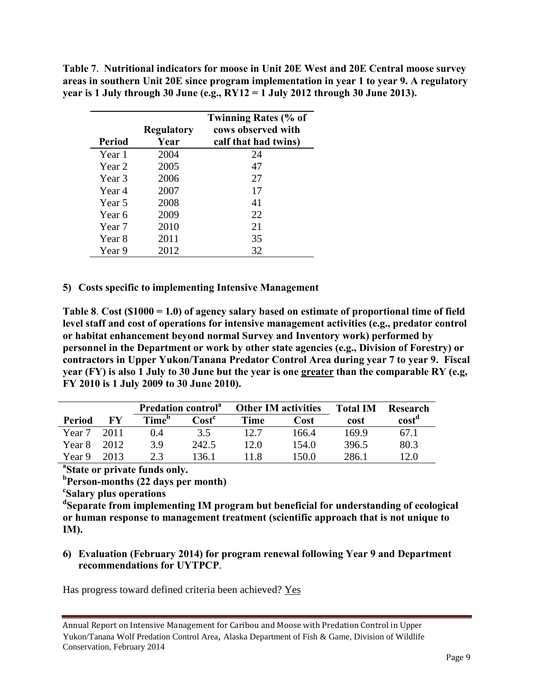**Table 7**. **Nutritional indicators for moose in Unit 20E West and 20E Central moose survey areas in southern Unit 20E since program implementation in year 1 to year 9. A regulatory year is 1 July through 30 June (e.g., RY12 = 1 July 2012 through 30 June 2013).**

|        | <b>Regulatory</b> | <b>Twinning Rates (% of</b><br>cows observed with |
|--------|-------------------|---------------------------------------------------|
| Period | Year              | calf that had twins)                              |
| Year 1 | 2004              | 24                                                |
| Year 2 | 2005              | 47                                                |
| Year 3 | 2006              | 27                                                |
| Year 4 | 2007              | 17                                                |
| Year 5 | 2008              | 41                                                |
| Year 6 | 2009              | 22                                                |
| Year 7 | 2010              | 21                                                |
| Year 8 | 2011              | 35                                                |
| Year 9 | 2012              | 32                                                |

## **5) Costs specific to implementing Intensive Management**

**Table 8**. **Cost (\$1000 = 1.0) of agency salary based on estimate of proportional time of field level staff and cost of operations for intensive management activities (e.g., predator control or habitat enhancement beyond normal Survey and Inventory work) performed by personnel in the Department or work by other state agencies (e.g., Division of Forestry) or contractors in Upper Yukon/Tanana Predator Control Area during year 7 to year 9. Fiscal year (FY) is also 1 July to 30 June but the year is one greater than the comparable RY (e.g, FY 2010 is 1 July 2009 to 30 June 2010).** 

|        |       | <b>Predation control</b> <sup>a</sup> |                            |             | <b>Other IM activities</b> | <b>Total IM</b> | Research |
|--------|-------|---------------------------------------|----------------------------|-------------|----------------------------|-----------------|----------|
| Period | FV    | Time <sup>p</sup>                     | $\textbf{Cost}^\textbf{c}$ | <b>Time</b> | Cost                       | cost            | cost     |
| Year 7 | 2011  | 0.4                                   | 3.5                        | 12.7        | 166.4                      | 169.9           | 67.1     |
| Year 8 | 2012. | 3.9                                   | 242.5                      | 12.0        | 154.0                      | 396.5           | 80.3     |
| Year 9 | 2013. | う 3                                   | 136.1                      | 11 X        | 150.0                      | 286.1           | l 2.0    |

**a State or private funds only.** 

**b Person-months (22 days per month) <sup>c</sup>**

**Salary plus operations** 

**d Separate from implementing IM program but beneficial for understanding of ecological or human response to management treatment (scientific approach that is not unique to IM).** 

## **6) Evaluation (February 2014) for program renewal following Year 9 and Department recommendations for UYTPCP**.

Has progress toward defined criteria been achieved? Yes

Annual Report on Intensive Management for Caribou and Moose with Predation Control in Upper Yukon/Tanana Wolf Predation Control Area, Alaska Department of Fish & Game, Division of Wildlife Conservation, February 2014